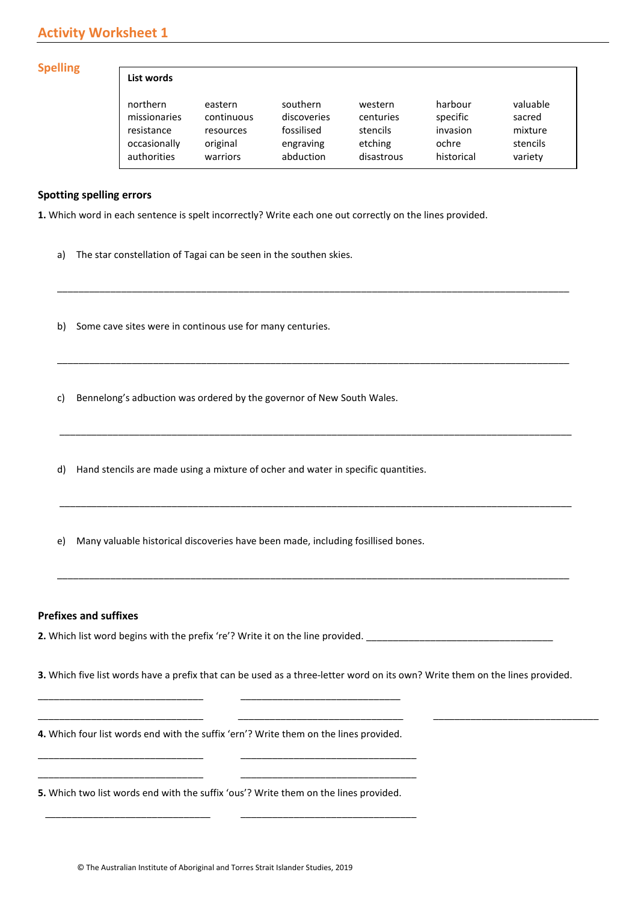# **Activity Worksheet 1**

#### **Spelling**

| List words   |            |             |            |            |          |
|--------------|------------|-------------|------------|------------|----------|
| northern     | eastern    | southern    | western    | harbour    | valuable |
| missionaries | continuous | discoveries | centuries  | specific   | sacred   |
| resistance   | resources  | fossilised  | stencils   | invasion   | mixture  |
| occasionally | original   | engraving   | etching    | ochre      | stencils |
| authorities  | warriors   | abduction   | disastrous | historical | variety  |

#### **Spotting spelling errors**

**1.** Which word in each sentence is spelt incorrectly? Write each one out correctly on the lines provided.

\_\_\_\_\_\_\_\_\_\_\_\_\_\_\_\_\_\_\_\_\_\_\_\_\_\_\_\_\_\_\_\_\_\_\_\_\_\_\_\_\_\_\_\_\_\_\_\_\_\_\_\_\_\_\_\_\_\_\_\_\_\_\_\_\_\_\_\_\_\_\_\_\_\_\_\_\_\_\_\_\_\_\_\_\_\_\_\_\_\_\_\_\_\_\_\_

\_\_\_\_\_\_\_\_\_\_\_\_\_\_\_\_\_\_\_\_\_\_\_\_\_\_\_\_\_\_\_\_\_\_\_\_\_\_\_\_\_\_\_\_\_\_\_\_\_\_\_\_\_\_\_\_\_\_\_\_\_\_\_\_\_\_\_\_\_\_\_\_\_\_\_\_\_\_\_\_\_\_\_\_\_\_\_\_\_\_\_\_\_\_\_\_

\_\_\_\_\_\_\_\_\_\_\_\_\_\_\_\_\_\_\_\_\_\_\_\_\_\_\_\_\_\_\_\_\_\_\_\_\_\_\_\_\_\_\_\_\_\_\_\_\_\_\_\_\_\_\_\_\_\_\_\_\_\_\_\_\_\_\_\_\_\_\_\_\_\_\_\_\_\_\_\_\_\_\_\_\_\_\_\_\_\_\_\_\_\_\_\_

\_\_\_\_\_\_\_\_\_\_\_\_\_\_\_\_\_\_\_\_\_\_\_\_\_\_\_\_\_\_\_\_\_\_\_\_\_\_\_\_\_\_\_\_\_\_\_\_\_\_\_\_\_\_\_\_\_\_\_\_\_\_\_\_\_\_\_\_\_\_\_\_\_\_\_\_\_\_\_\_\_\_\_\_\_\_\_\_\_\_\_\_\_\_\_\_

\_\_\_\_\_\_\_\_\_\_\_\_\_\_\_\_\_\_\_\_\_\_\_\_\_\_\_\_\_\_\_\_\_\_\_\_\_\_\_\_\_\_\_\_\_\_\_\_\_\_\_\_\_\_\_\_\_\_\_\_\_\_\_\_\_\_\_\_\_\_\_\_\_\_\_\_\_\_\_\_\_\_\_\_\_\_\_\_\_\_\_\_\_\_\_\_

a) The star constellation of Tagai can be seen in the southen skies.

b) Some cave sites were in continous use for many centuries.

- c) Bennelong's adbuction was ordered by the governor of New South Wales.
- d) Hand stencils are made using a mixture of ocher and water in specific quantities.
- e) Many valuable historical discoveries have been made, including fosillised bones.

#### **Prefixes and suffixes**

**2.** Which list word begins with the prefix 're'? Write it on the line provided. \_\_\_\_\_\_\_\_\_\_\_\_\_\_\_\_\_\_\_\_\_\_\_\_\_\_\_\_\_\_\_\_\_\_\_

**3.** Which five list words have a prefix that can be used as a three-letter word on its own? Write them on the lines provided.

\_\_\_\_\_\_\_\_\_\_\_\_\_\_\_\_\_\_\_\_\_\_\_\_\_\_\_\_\_\_\_ \_\_\_\_\_\_\_\_\_\_\_\_\_\_\_\_\_\_\_\_\_\_\_\_\_\_\_\_\_\_\_ \_\_\_\_\_\_\_\_\_\_\_\_\_\_\_\_\_\_\_\_\_\_\_\_\_\_\_\_\_\_\_

**4.** Which four list words end with the suffix 'ern'? Write them on the lines provided.

\_\_\_\_\_\_\_\_\_\_\_\_\_\_\_\_\_\_\_\_\_\_\_\_\_\_\_\_\_\_\_ \_\_\_\_\_\_\_\_\_\_\_\_\_\_\_\_\_\_\_\_\_\_\_\_\_\_\_\_\_\_\_\_\_ \_\_\_\_\_\_\_\_\_\_\_\_\_\_\_\_\_\_\_\_\_\_\_\_\_\_\_\_\_\_\_ \_\_\_\_\_\_\_\_\_\_\_\_\_\_\_\_\_\_\_\_\_\_\_\_\_\_\_\_\_\_\_\_\_

\_\_\_\_\_\_\_\_\_\_\_\_\_\_\_\_\_\_\_\_\_\_\_\_\_\_\_\_\_\_\_ \_\_\_\_\_\_\_\_\_\_\_\_\_\_\_\_\_\_\_\_\_\_\_\_\_\_\_\_\_\_

**5.** Which two list words end with the suffix 'ous'? Write them on the lines provided.

 $\overline{\phantom{a}}$  , and the contribution of the contribution of the contribution of the contribution of the contribution of the contribution of the contribution of the contribution of the contribution of the contribution of the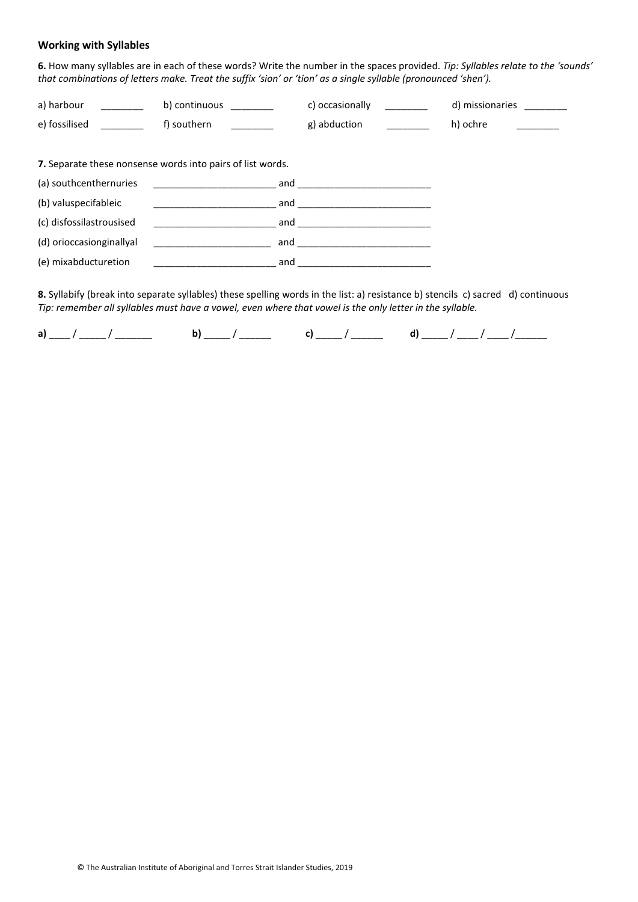#### **Working with Syllables**

**6.** How many syllables are in each of these words? Write the number in the spaces provided. *Tip: Syllables relate to the 'sounds' that combinations of letters make. Treat the suffix 'sion' or 'tion' as a single syllable (pronounced 'shen').*

| a) harbour                                                 | b) continuous | c) occasionally |  | d) missionaries |  |  |
|------------------------------------------------------------|---------------|-----------------|--|-----------------|--|--|
| e) fossilised                                              | f) southern   | g) abduction    |  | h) ochre        |  |  |
| 7. Separate these nonsense words into pairs of list words. |               |                 |  |                 |  |  |
| (a) southcenthernuries                                     | and           |                 |  |                 |  |  |
| (b) valuspecifableic                                       | and           |                 |  |                 |  |  |

| (c) disfossilastrousised | and |  |
|--------------------------|-----|--|
| (d) orioccasionginallyal | and |  |
| (e) mixabducturetion     | and |  |

**8.** Syllabify (break into separate syllables) these spelling words in the list: a) resistance b) stencils c) sacred d) continuous *Tip: remember all syllables must have a vowel, even where that vowel is the only letter in the syllable.*

**a**) \_\_\_\_\_/ \_\_\_\_\_\_\_\_ **b**) \_\_\_\_\_/ \_\_\_\_\_ **c**) \_\_\_\_\_/ \_\_\_\_\_\_ **d**) \_\_\_\_\_/ \_\_\_\_/ \_\_\_\_\_/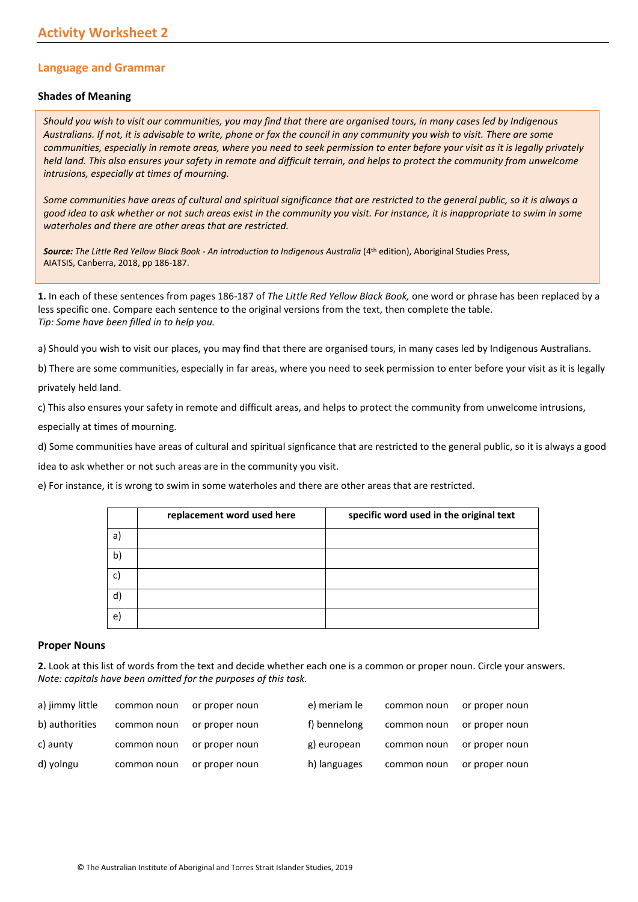### **Language and Grammar**

#### **Shades of Meaning**

*Should you wish to visit our communities, you may find that there are organised tours, in many cases led by Indigenous Australians. If not, it is advisable to write, phone or fax the council in any community you wish to visit. There are some communities, especially in remote areas, where you need to seek permission to enter before your visit as it is legally privately held land. This also ensures your safety in remote and difficult terrain, and helps to protect the community from unwelcome intrusions, especially at times of mourning.* 

*Some communities have areas of cultural and spiritual significance that are restricted to the general public, so it is always a good idea to ask whether or not such areas exist in the community you visit. For instance, it is inappropriate to swim in some waterholes and there are other areas that are restricted.*

*Source: The Little Red Yellow Black Book - An introduction to Indigenous Australia* (4th edition), Aboriginal Studies Press, AIATSIS, Canberra, 2018, pp 186-187.

**1.** In each of these sentences from pages 186-187 of *The Little Red Yellow Black Book,* one word or phrase has been replaced by a less specific one. Compare each sentence to the original versions from the text, then complete the table. *Tip: Some have been filled in to help you.*

a) Should you wish to visit our places, you may find that there are organised tours, in many cases led by Indigenous Australians.

b) There are some communities, especially in far areas, where you need to seek permission to enter before your visit as it is legally privately held land.

c) This also ensures your safety in remote and difficult areas, and helps to protect the community from unwelcome intrusions,

especially at times of mourning.

d) Some communities have areas of cultural and spiritual signficance that are restricted to the general public, so it is always a good

idea to ask whether or not such areas are in the community you visit.

e) For instance, it is wrong to swim in some waterholes and there are other areas that are restricted.

|    | replacement word used here | specific word used in the original text |
|----|----------------------------|-----------------------------------------|
| a) |                            |                                         |
| b) |                            |                                         |
| C) |                            |                                         |
| d) |                            |                                         |
| e) |                            |                                         |

#### **Proper Nouns**

**2.** Look at this list of words from the text and decide whether each one is a common or proper noun. Circle your answers. *Note: capitals have been omitted for the purposes of this task.*

| a) jimmy little | common noun | or proper noun | e) meriam le | common noun | or proper noun |
|-----------------|-------------|----------------|--------------|-------------|----------------|
| b) authorities  | common noun | or proper noun | f) bennelong | common noun | or proper noun |
| c) aunty        | common noun | or proper noun | g) european  | common noun | or proper noun |
| d) yolngu       | common noun | or proper noun | h) languages | common noun | or proper noun |